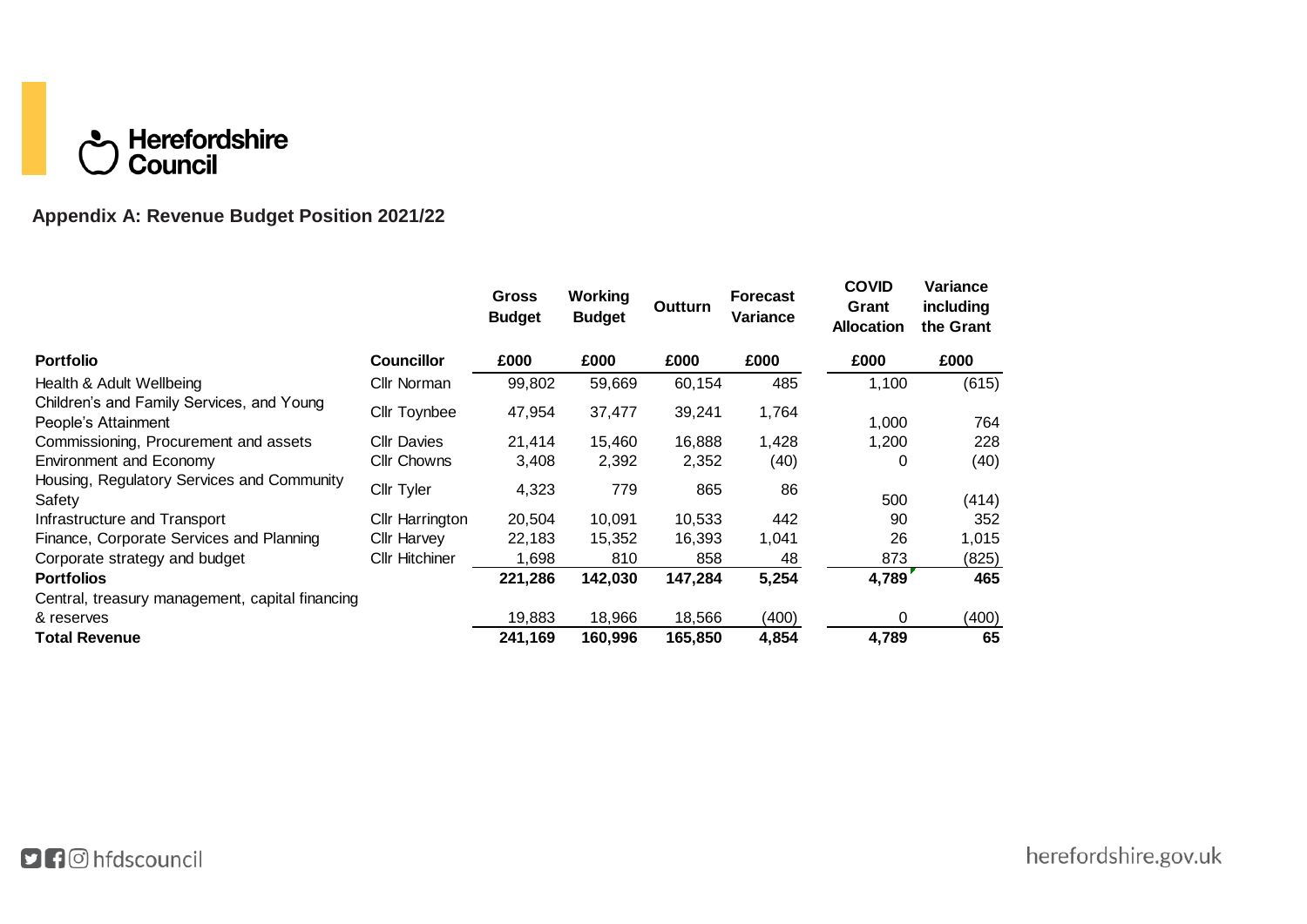# **C** Herefordshire

# **Appendix A: Revenue Budget Position 2021/22**

|                                                                  |                       | <b>Gross</b><br><b>Budget</b> | Working<br><b>Budget</b> | Outturn | <b>Forecast</b><br>Variance | <b>COVID</b><br>Grant<br><b>Allocation</b> | Variance<br>including<br>the Grant |
|------------------------------------------------------------------|-----------------------|-------------------------------|--------------------------|---------|-----------------------------|--------------------------------------------|------------------------------------|
| <b>Portfolio</b>                                                 | <b>Councillor</b>     | £000                          | £000                     | £000    | £000                        | £000                                       | £000                               |
| Health & Adult Wellbeing                                         | Cllr Norman           | 99,802                        | 59,669                   | 60,154  | 485                         | 1,100                                      | (615)                              |
| Children's and Family Services, and Young<br>People's Attainment | Cllr Toynbee          | 47,954                        | 37,477                   | 39,241  | 1,764                       | 1,000                                      | 764                                |
| Commissioning, Procurement and assets                            | <b>Cllr Davies</b>    | 21,414                        | 15,460                   | 16,888  | 1,428                       | 1,200                                      | 228                                |
| <b>Environment and Economy</b>                                   | <b>Cllr Chowns</b>    | 3,408                         | 2,392                    | 2,352   | (40)                        | 0                                          | (40)                               |
| Housing, Regulatory Services and Community<br>Safety             | <b>Cllr Tyler</b>     | 4,323                         | 779                      | 865     | 86                          | 500                                        | (414)                              |
| Infrastructure and Transport                                     | Cllr Harrington       | 20,504                        | 10,091                   | 10,533  | 442                         | 90                                         | 352                                |
| Finance, Corporate Services and Planning                         | Cllr Harvey           | 22,183                        | 15,352                   | 16,393  | 1,041                       | 26                                         | 1,015                              |
| Corporate strategy and budget                                    | <b>Cllr Hitchiner</b> | 1,698                         | 810                      | 858     | 48                          | 873                                        | (825)                              |
| <b>Portfolios</b>                                                |                       | 221,286                       | 142,030                  | 147,284 | 5,254                       | 4,789                                      | 465                                |
| Central, treasury management, capital financing                  |                       |                               |                          |         |                             |                                            |                                    |
| & reserves                                                       |                       | 19,883                        | 18.966                   | 18,566  | (400)                       | 0                                          | (400)                              |
| <b>Total Revenue</b>                                             |                       | 241,169                       | 160,996                  | 165,850 | 4,854                       | 4,789                                      | 65                                 |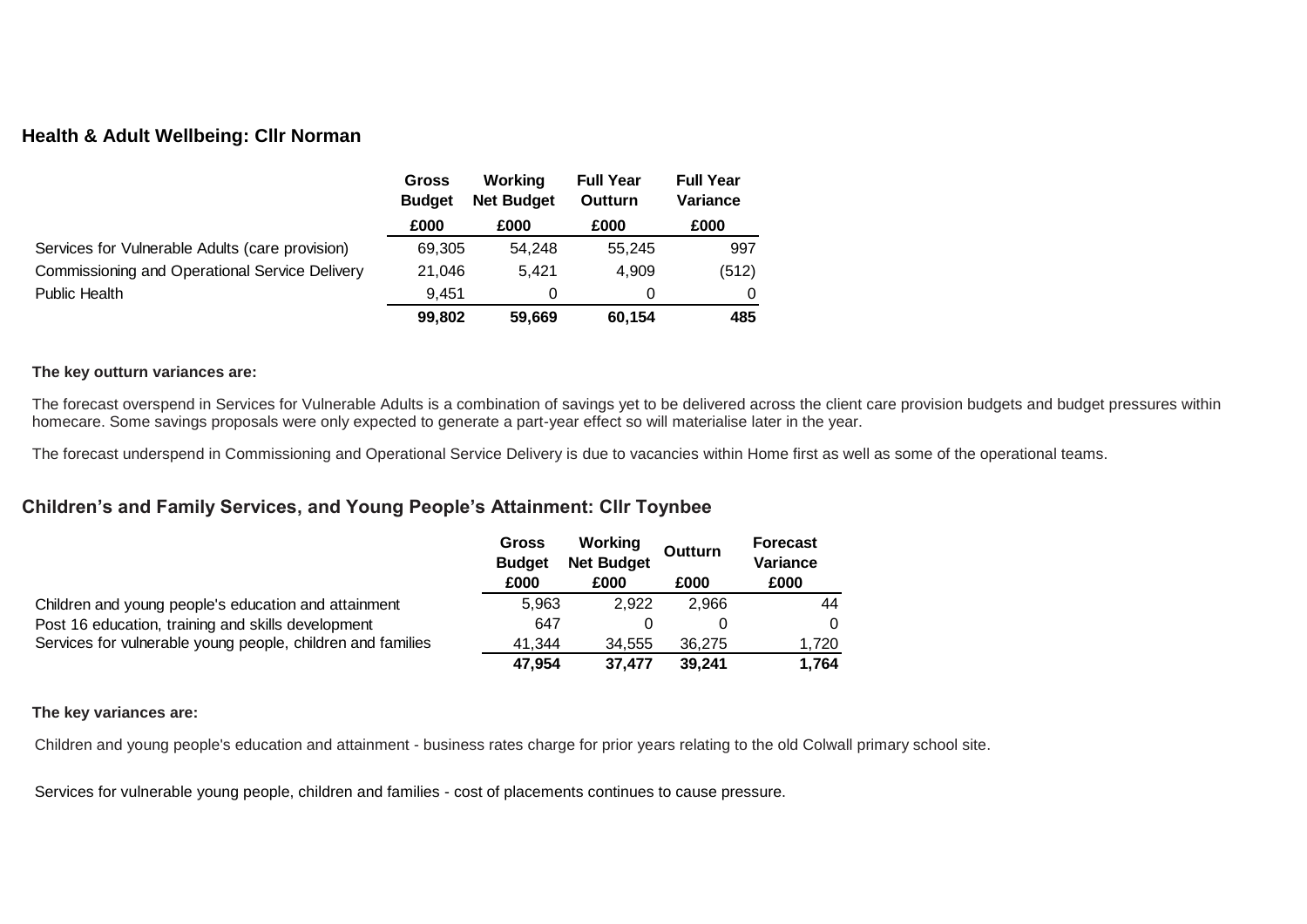#### **Health & Adult Wellbeing: Cllr Norman**

|                                                 | Gross<br><b>Budget</b> | Working<br><b>Net Budget</b> | <b>Full Year</b><br>Outturn | <b>Full Year</b><br>Variance |
|-------------------------------------------------|------------------------|------------------------------|-----------------------------|------------------------------|
|                                                 | £000                   | £000                         | £000                        | £000                         |
| Services for Vulnerable Adults (care provision) | 69,305                 | 54.248                       | 55.245                      | 997                          |
| Commissioning and Operational Service Delivery  | 21,046                 | 5.421                        | 4.909                       | (512)                        |
| Public Health                                   | 9.451                  | 0                            |                             | 0                            |
|                                                 | 99.802                 | 59.669                       | 60.154                      | 485                          |

#### **The key outturn variances are:**

The forecast overspend in Services for Vulnerable Adults is a combination of savings yet to be delivered across the client care provision budgets and budget pressures within homecare. Some savings proposals were only expected to generate a part-year effect so will materialise later in the year.

The forecast underspend in Commissioning and Operational Service Delivery is due to vacancies within Home first as well as some of the operational teams.

## **Children's and Family Services, and Young People's Attainment: Cllr Toynbee**

|                                                             | Gross<br><b>Budget</b><br>£000 | Working<br><b>Net Budget</b><br>£000 | <b>Outturn</b><br>£000 | <b>Forecast</b><br>Variance<br>£000 |
|-------------------------------------------------------------|--------------------------------|--------------------------------------|------------------------|-------------------------------------|
|                                                             |                                |                                      |                        |                                     |
| Children and young people's education and attainment        | 5,963                          | 2.922                                | 2.966                  | 44                                  |
| Post 16 education, training and skills development          | 647                            |                                      |                        | $\Omega$                            |
| Services for vulnerable young people, children and families | 41.344                         | 34.555                               | 36.275                 | 1.720                               |
|                                                             | 47,954                         | 37.477                               | 39.241                 | 1.764                               |

#### **The key variances are:**

Children and young people's education and attainment - business rates charge for prior years relating to the old Colwall primary school site.

Services for vulnerable young people, children and families - cost of placements continues to cause pressure.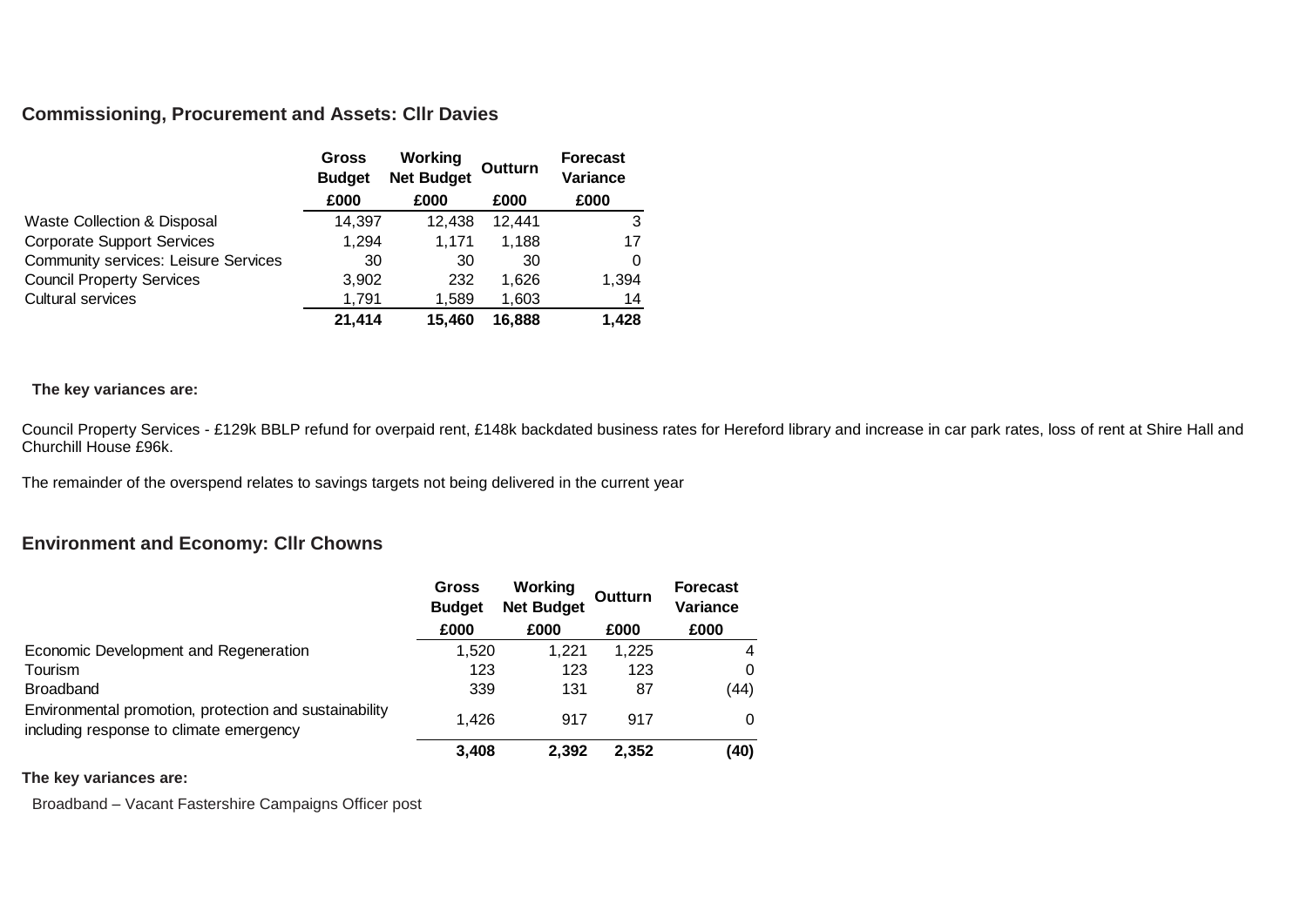#### **Commissioning, Procurement and Assets: Cllr Davies**

|                                             | Gross<br><b>Budget</b> | <b>Working</b><br><b>Net Budget</b> | Outturn | <b>Forecast</b><br>Variance |
|---------------------------------------------|------------------------|-------------------------------------|---------|-----------------------------|
|                                             | £000                   | £000                                | £000    | £000                        |
| <b>Waste Collection &amp; Disposal</b>      | 14,397                 | 12,438                              | 12.441  | 3                           |
| <b>Corporate Support Services</b>           | 1,294                  | 1.171                               | 1.188   | 17                          |
| <b>Community services: Leisure Services</b> | 30                     | 30                                  | 30      | 0                           |
| <b>Council Property Services</b>            | 3,902                  | 232                                 | 1.626   | 1,394                       |
| <b>Cultural services</b>                    | 1.791                  | 1.589                               | 1,603   | 14                          |
|                                             | 21,414                 | 15,460                              | 16.888  | 1,428                       |

#### **The key variances are:**

Council Property Services - £129k BBLP refund for overpaid rent, £148k backdated business rates for Hereford library and increase in car park rates, loss of rent at Shire Hall and Churchill House £96k.

The remainder of the overspend relates to savings targets not being delivered in the current year

## **Environment and Economy: Cllr Chowns**

|                                                                                                   | <b>Gross</b><br><b>Budget</b> | Working<br><b>Net Budget</b> | Outturn | <b>Forecast</b><br>Variance |
|---------------------------------------------------------------------------------------------------|-------------------------------|------------------------------|---------|-----------------------------|
|                                                                                                   | £000                          | £000                         | £000    | £000                        |
| Economic Development and Regeneration                                                             | 1.520                         | 1.221                        | 1.225   | $\overline{4}$              |
| Tourism                                                                                           | 123                           | 123                          | 123     | 0                           |
| <b>Broadband</b>                                                                                  | 339                           | 131                          | 87      | (44)                        |
| Environmental promotion, protection and sustainability<br>including response to climate emergency | 1.426                         | 917                          | 917     | $\Omega$                    |
|                                                                                                   | 3,408                         | 2.392                        | 2,352   | (40)                        |

#### **The key variances are:**

Broadband – Vacant Fastershire Campaigns Officer post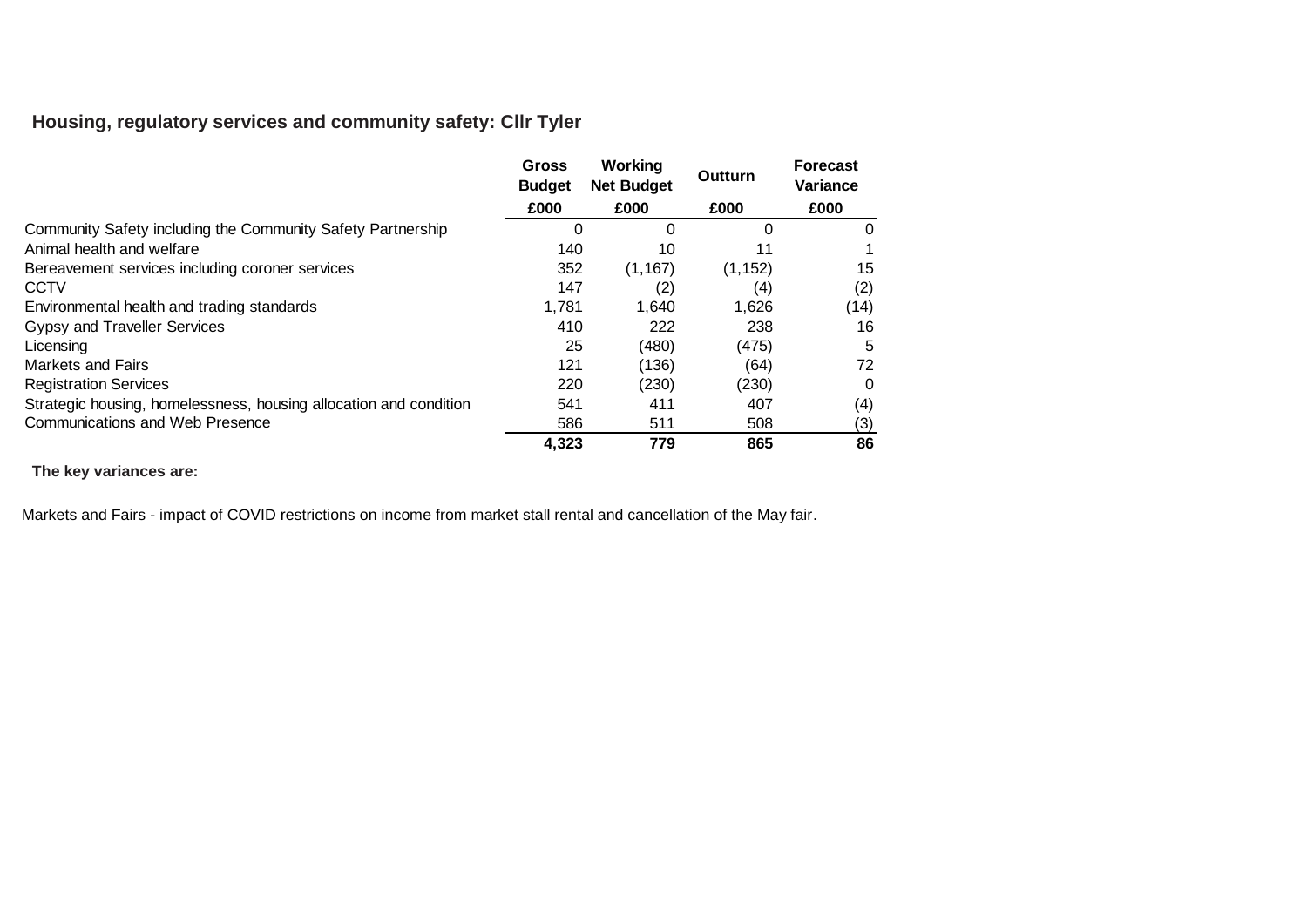# **Housing, regulatory services and community safety: Cllr Tyler**

|                                                                   | Gross<br><b>Budget</b> | Working<br><b>Net Budget</b> | Outturn  | <b>Forecast</b><br>Variance |  |
|-------------------------------------------------------------------|------------------------|------------------------------|----------|-----------------------------|--|
|                                                                   | £000                   | £000                         | £000     | £000                        |  |
| Community Safety including the Community Safety Partnership       | 0                      | 0                            | O        | $\mathbf{0}$                |  |
| Animal health and welfare                                         | 140                    | 10                           | 11       |                             |  |
| Bereavement services including coroner services                   | 352                    | (1, 167)                     | (1, 152) | 15                          |  |
| <b>CCTV</b>                                                       | 147                    | (2)                          | (4)      | (2)                         |  |
| Environmental health and trading standards                        | 1,781                  | 1,640                        | 1,626    | (14)                        |  |
| Gypsy and Traveller Services                                      | 410                    | 222                          | 238      | 16                          |  |
| Licensing                                                         | 25                     | (480)                        | (475)    | 5                           |  |
| <b>Markets and Fairs</b>                                          | 121                    | (136)                        | (64)     | 72                          |  |
| <b>Registration Services</b>                                      | 220                    | (230)                        | (230)    | 0                           |  |
| Strategic housing, homelessness, housing allocation and condition | 541                    | 411                          | 407      | (4)                         |  |
| <b>Communications and Web Presence</b>                            | 586                    | 511                          | 508      | (3)                         |  |
|                                                                   | 4,323                  | 779                          | 865      | 86                          |  |

#### **The key variances are:**

Markets and Fairs - impact of COVID restrictions on income from market stall rental and cancellation of the May fair.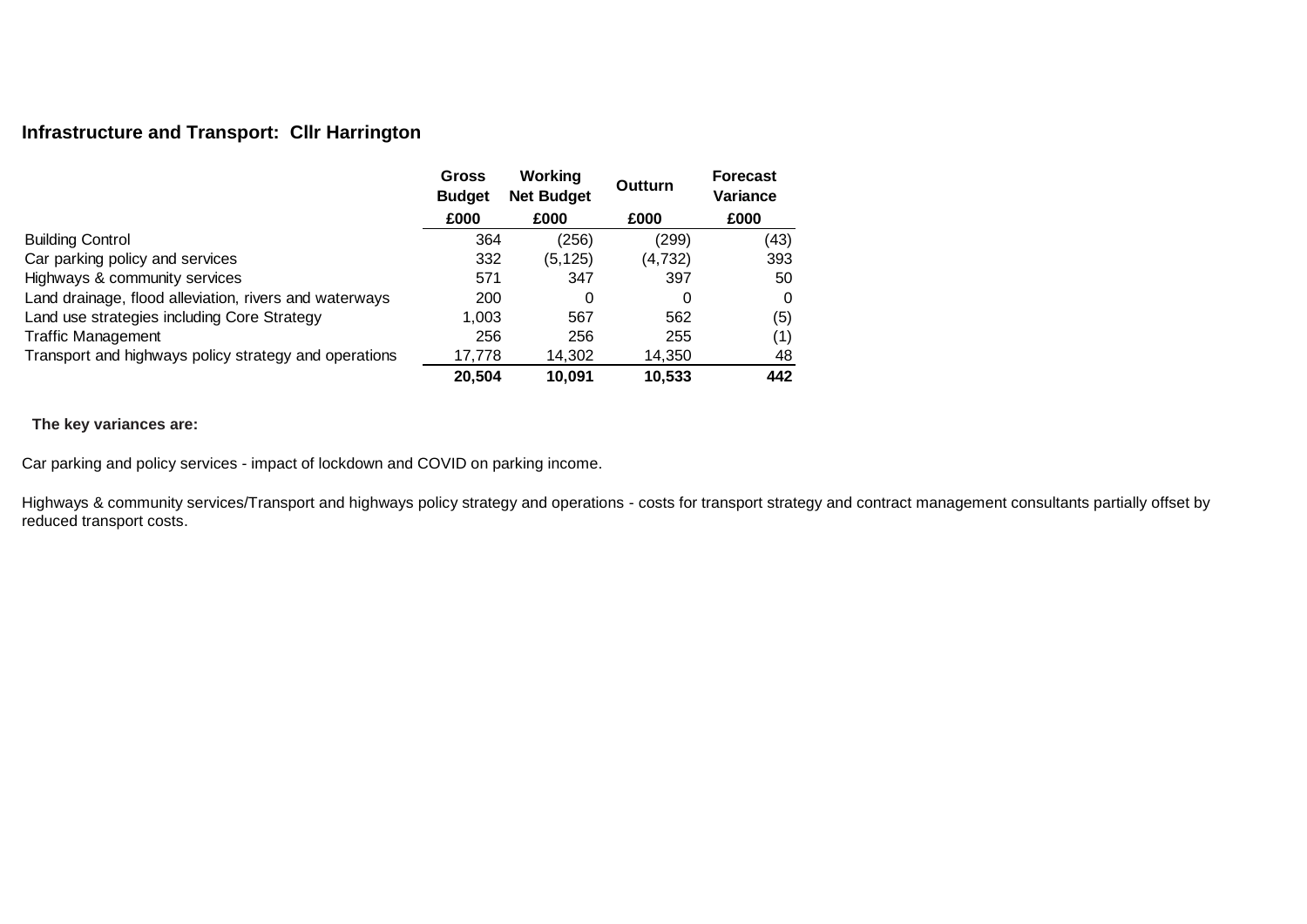# **Infrastructure and Transport: Cllr Harrington**

|                                                        | Gross<br><b>Budget</b> | Working<br><b>Net Budget</b> | <b>Outturn</b> | <b>Forecast</b><br>Variance |  |
|--------------------------------------------------------|------------------------|------------------------------|----------------|-----------------------------|--|
|                                                        | £000                   | £000                         | £000           | £000                        |  |
| <b>Building Control</b>                                | 364                    | (256)                        | (299)          | (43)                        |  |
| Car parking policy and services                        | 332                    | (5, 125)                     | (4, 732)       | 393                         |  |
| Highways & community services                          | 571                    | 347                          | 397            | 50                          |  |
| Land drainage, flood alleviation, rivers and waterways | 200                    | 0                            | 0              | 0                           |  |
| Land use strategies including Core Strategy            | 1,003                  | 567                          | 562            | (5)                         |  |
| <b>Traffic Management</b>                              | 256                    | 256                          | 255            | (1)                         |  |
| Transport and highways policy strategy and operations  | 17,778                 | 14,302                       | 14,350         | 48                          |  |
|                                                        | 20,504                 | 10.091                       | 10.533         | 442                         |  |

**The key variances are:**

Car parking and policy services - impact of lockdown and COVID on parking income.

Highways & community services/Transport and highways policy strategy and operations - costs for transport strategy and contract management consultants partially offset by reduced transport costs.